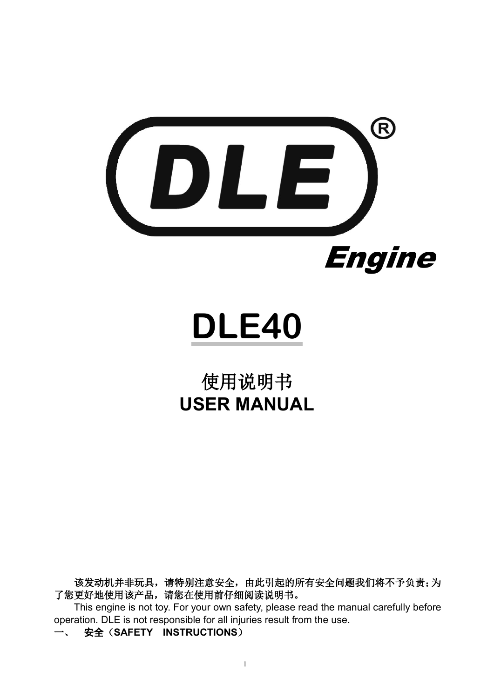

**DLE40**

## 使用说明书 **USER MANUAL**

该发动机并非玩具,请特别注意安全,由此引起的所有安全问题我们将不予负责;为 了您更好地使用该产品,请您在使用前仔细阅读说明书。

This engine is not toy. For your own safety, please read the manual carefully before operation. DLE is not responsible for all injuries result from the use.

一、 安全(**SAFETY INSTRUCTIONS**)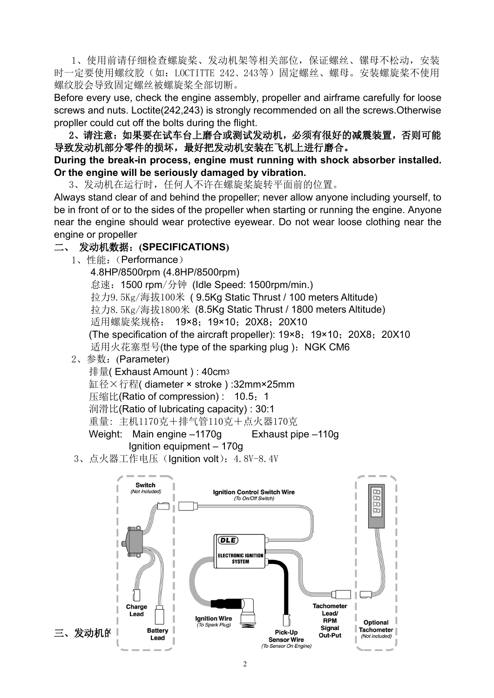1、使用前请仔细检查螺旋桨、发动机架等相关部位,保证螺丝、镙母不松动,安装 时一定要使用螺纹胶(如:LOCTITTE 242、243等)固定螺丝、螺母。安装螺旋桨不使用 螺纹胶会导致固定螺丝被螺旋桨全部切断。

Before every use, check the engine assembly, propeller and airframe carefully for loose screws and nuts. Loctite(242,243) is strongly recommended on all the screws.Otherwise propller could cut off the bolts during the flight.

2、请注意:如果要在试车台上磨合或测试发动机,必须有很好的减震装置,否则可能 导致发动机部分零件的损坏,最好把发动机安装在飞机上进行磨合。

## **During the break-in process, engine must running with shock absorber installed. Or the engine will be seriously damaged by vibration.**

3、发动机在运行时,任何人不许在螺旋桨旋转平面前的位置。

Always stand clear of and behind the propeller; never allow anyone including yourself, to be in front of or to the sides of the propeller when starting or running the engine. Anyone near the engine should wear protective eyewear. Do not wear loose clothing near the engine or propeller

## 二、 发动机数据:**(SPECIFICATIONS)**

1、性能:(Performance)

4.8HP/8500rpm (4.8HP/8500rpm) 怠速:1500 rpm/分钟 (Idle Speed: 1500rpm/min.) 拉力9.5Kg/海拔100米 ( 9.5Kg Static Thrust / 100 meters Altitude) 拉力8.5Kg/海拔1800米 (8.5Kg Static Thrust / 1800 meters Altitude) 适用螺旋桨规格: 19×8; 19×10; 20X8; 20X10 (The specification of the aircraft propeller):  $19 \times 8$ ;  $19 \times 10$ ; 20X8; 20X10 适用火花塞型号(the type of the sparking plug): NGK CM6

2、参数:(Parameter)

排量( Exhaust Amount ) : 40cm<sup>3</sup> 缸径×行程( diameter × stroke ) :32mm×25mm 压缩比(Ratio of compression): 10.5: 1 润滑比(Ratio of lubricating capacity) : 30:1 重量: 主机1170克+排气管110克+点火器170克 Weight: Main engine –1170g Exhaust pipe –110g

Ignition equipment – 170g

3、点火器工作电压 (Ignition volt): 4.8V-8.4V

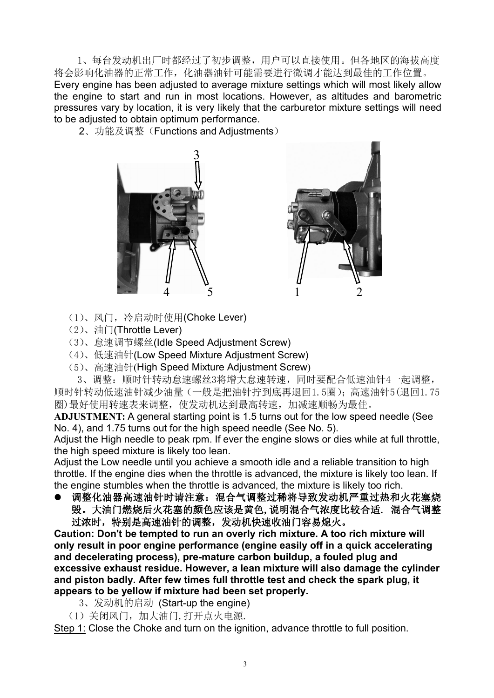1、每台发动机出厂时都经过了初步调整,用户可以直接使用。但各地区的海拔高度 将会影响化油器的正常工作,化油器油针可能需要进行微调才能达到最佳的工作位置。

Every engine has been adjusted to average mixture settings which will most likely allow the engine to start and run in most locations. However, as altitudes and barometric pressures vary by location, it is very likely that the carburetor mixture settings will need to be adjusted to obtain optimum performance.

2、功能及调整(Functions and Adjustments)





- (1)、风门,冷启动时使用(Choke Lever)
- (2)、油门(Throttle Lever)
- (3)、怠速调节螺丝(Idle Speed Adjustment Screw)
- (4)、低速油针(Low Speed Mixture Adjustment Screw)
- (5)、高速油针(High Speed Mixture Adjustment Screw)

3、调整:顺时针转动怠速螺丝3将增大怠速转速,同时要配合低速油针4一起调整, 顺时针转动低速油针减少油量(一般是把油针拧到底再退回1.5圈);高速油针5(退回1.75 圈)最好使用转速表来调整,使发动机达到最高转速,加减速顺畅为最佳。

ADJUSTMENT: A general starting point is 1.5 turns out for the low speed needle (See No. 4), and 1.75 turns out for the high speed needle (See No. 5).

Adjust the High needle to peak rpm. If ever the engine slows or dies while at full throttle, the high speed mixture is likely too lean.

Adjust the Low needle until you achieve a smooth idle and a reliable transition to high throttle. If the engine dies when the throttle is advanced, the mixture is likely too lean. If the engine stumbles when the throttle is advanced, the mixture is likely too rich.

● 调整化油器高速油针时请注意: 混合气调整过稀将导致发动机严重过热和火花塞烧 毁。大油门燃烧后火花塞的颜色应该是黄色,说明混合气浓度比较合适. 混合气调整 过浓时,特别是高速油针的调整,发动机快速收油门容易熄火。

**Caution: Don't be tempted to run an overly rich mixture. A too rich mixture will only result in poor engine performance (engine easily off in a quick accelerating and decelerating process), pre-mature carbon buildup, a fouled plug and excessive exhaust residue. However, a lean mixture will also damage the cylinder and piston badly. After few times full throttle test and check the spark plug, it appears to be yellow ifmixture had been set properly.**

- 3、发动机的启动 (Start-up the engine)
- (1)关闭风门,加大油门,打开点火电源.

Step 1: Close the Choke and turn on the ignition, advance throttle to full position.